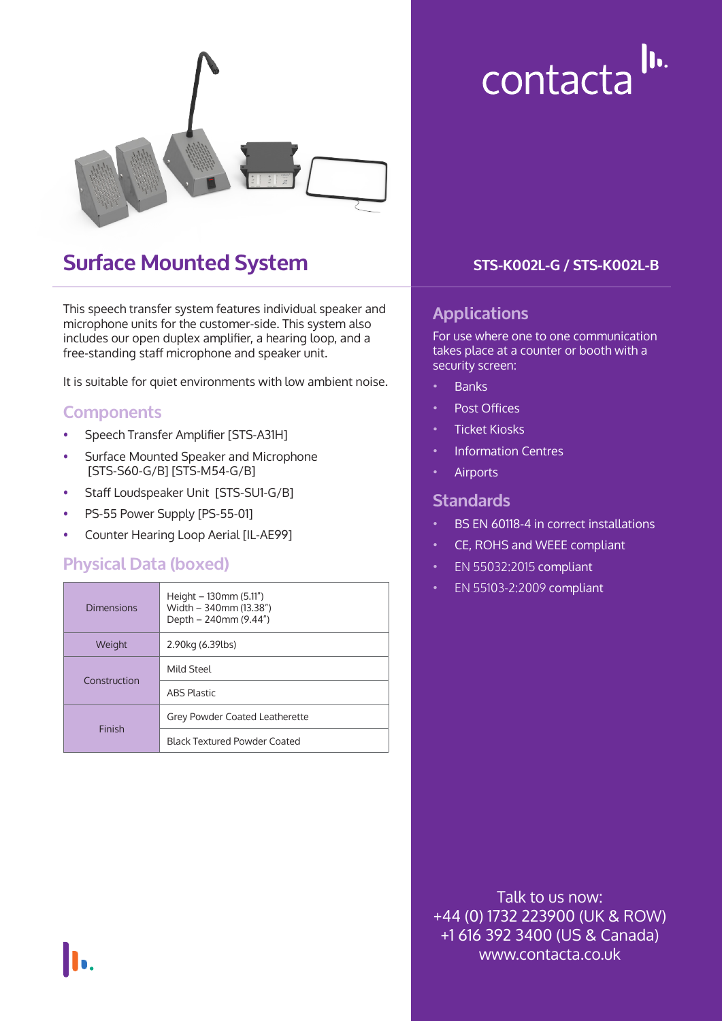

## **Surface Mounted System**

This speech transfer system features individual speaker and microphone units for the customer-side. This system also includes our open duplex amplifier, a hearing loop, and a free-standing staff microphone and speaker unit.

It is suitable for quiet environments with low ambient noise.

#### **Components**

- Speech Transfer Amplifier [STS-A31H]
- Surface Mounted Speaker and Microphone [STS-S60-G/B] [STS-M54-G/B]
- Staff Loudspeaker Unit [STS-SU1-G/B]
- PS-55 Power Supply [PS-55-01]
- Counter Hearing Loop Aerial [IL-AE99]

#### **Physical Data (boxed)**

|  | <b>Dimensions</b> | Height $-130$ mm (5.11")<br>Width - 340mm (13.38")<br>Depth $-240$ mm (9.44") |  |
|--|-------------------|-------------------------------------------------------------------------------|--|
|  | Weight            | 2.90kg (6.39lbs)                                                              |  |
|  | Construction      | Mild Steel                                                                    |  |
|  |                   | <b>ABS Plastic</b>                                                            |  |
|  | Finish            | Grey Powder Coated Leatherette                                                |  |
|  |                   | <b>Black Textured Powder Coated</b>                                           |  |

#### **STS-K002L-G / STS-K002L-B**

contacta<sup>lu.</sup>

#### **Applications**

For use where one to one communication takes place at a counter or booth with a security screen:

- Banks
- Post Offices
- Ticket Kiosks
- Information Centres
- **Airports**

#### **Standards**

- BS EN 60118-4 in correct installations
- CE, ROHS and WEEE compliant
- EN 55032:2015 compliant
- EN 55103-2:2009 compliant

Talk to us now: +44 (0) 1732 223900 (UK & ROW) +1 616 392 3400 (US & Canada) www.contacta.co.uk